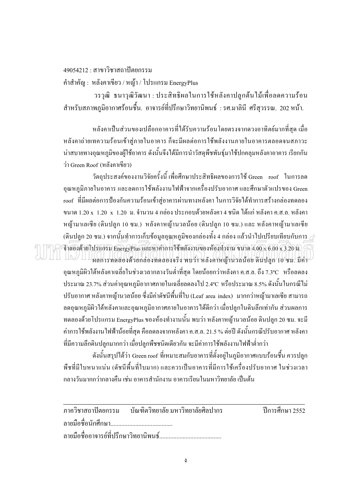## 49054212 · สาขาวิชาสถาปัตยกรรม

คำสำคัญ : หลังคาเขียว / หญ้า / โปรแกรม EnergyPlus

้วรวุฒิ ธนาวุฒิวัฒนา : ประสิทธิผลในการใช้หลังคาปลูกต้นไม้เพื่อลดความร้อน ี สำหรับสภาพภูมิอากาศร้อนชื้น. อาจารย์ที่ปรึกษาวิทยานิพนธ์ : รศ.มาลินี ศรีสุวรรณ. 202 หน้า.

หลังคาเป็นส่วนของเปลือกอาคารที่ได้รับความร้อนโดยตรงจากควงอาทิตย์มากที่สด เมื่อ หลังคาถ่ายเทความร้อนเข้าสู่ภายในอาคาร ก็จะมีผลต่อการใช้พลังงานภายในอาคารตลอดจนสภาวะ น่าสบายทางอณหภมิของผ้ใช้อาคาร ดังนั้นจึงได้มีการนำวัสคพืชพันธ์มาใช้ปกคลมหลังคาอาคาร เรียกกัน ว่า Green Roof (หลังคาเขียว)

วัตถุประสงค์ของงานวิจัยครั้งนี้ เพื่อศึกษาประสิทธิผลของการใช้ Green roof ในการลด ี อุณหภูมิภายในอาคาร และลดการใช้พลังงานไฟฟ้าจากเครื่องปรับอากาศ และศึกษาตัวแปรของ Green roof ที่มีผลต่อการป้องกันความร้อนเข้าสู่อาคารผ่านทางหลังคา ในการวิจัยได้ทำการสร้างกล่องทดลอง ูขนาด 1.20 x 1.20 x 1.20 ม. กำนวน 4 กล่อง ประกอบด้วยหลังคา 4 ชนิด ได้แก่ หลังคา ค.ส.ล. หลังคา หญ้ามาเลเซีย (ดินปลูก 10 ซม.) หลังคาหญ้านวลน้อย (ดินปลูก 10 ซม.) และ หลังคาหญ้ามาเลเซีย (ดินปลก 20 ซม.) จากนั้นทำการเก็บข้อมลอณหภมิของกล่องทั้ง 4 กล่อง แล้วนำไปเปรียบเทียบกับการ  $\geq$ 

 $\widehat{\mathfrak{g}}$ าสองด้วยโปรแกรม EnergyPlus และหาศาการใช้พลังงานของห้องท้างาน ขนาด 4.00 x 6.00  $\times$  3.20 นิ. ผลการทดลองด้วยกล่องทดลองจริง พบว่า หลังคาหญ้านวลน้อย ดินปลูก 10 ซม. มีค่า อุณหภูมิผิวใต้หลังคาเฉลี่ยในช่วงเวลากลางวันต่ำที่สุด โดยน้อยกว่าหลังคา ค.ส.ล. ถึง 7.3°C หรือลดลง ประมาณ 23.7% ส่วนค่าอณหภมิอากาศภายในเฉลี่ยลดลงไป 2.4°C หรือประมาณ 8.5% ดังนั้นในกรณีไม่ ปรับอากาศ หลังคาหญ้านวลน้อย ซึ่งมีค่าดัชนีพื้นที่ใบ (Leaf area index) มากกว่าหญ้ามาเลเซีย สามารถ ิลคอุณหภูมิผิวใต้หลังคาและอุณหภูมิอากาศภายในอาคารได้ดีกว่า เมื่อปลูกในดินลึกเท่ากัน ส่วนผลการ ี ทคลองด้วยโปรแกรม EnergyPlus ของห้องทำงานนั้น พบว่า หลังคาหญ้านวลน้อย คินปลูก 20 ซม. จะมี ้ค่าการใช้พลังงานไฟฟ้าน้อยที่สุด คือลดลงจากหลังคา ค.ส.ล. 21.5 % ต่อปี ดังนั้นกรณีปรับอากาศ หลังคา ที่มีความลึกดินปลูกมากกว่า เมื่อปลูกพืชชนิดเดียวกัน จะมีค่าการใช้พลังงานไฟฟ้าต่ำกว่า

ี ดังนั้นสรุปได้ว่า Green roof ที่เหมาะสมกับอาคารที่ตั้งอยู่ในภูมิอากาศแบบร้อนชื้น ควรปลูก ้พืชที่มีใบหนาแน่น (ดัชนีพื้นที่ใบมาก) และควรเป็นอาคารที่มีการใช้เครื่องปรับอากาศ ในช่วงเวลา ้กลางวันมากกว่ากลางคืน เช่น กาคารสำนักงาน กาคารเรียนในมหาวิทยาลัย เป็นต้น

|  | ภาควิชาสถาปัตยกรรม บัณฑิตวิทยาลัยฺ มหาวิทยาลัยศิลปากร | ปีการศึกษา 2552 |
|--|-------------------------------------------------------|-----------------|
|  |                                                       |                 |
|  |                                                       |                 |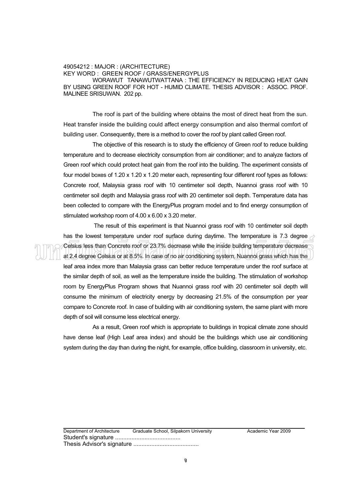## 49054212 : MAJOR : (ARCHITECTURE) KEY WORD : GREEN ROOF / GRASS/ENERGYPLUS WORAWUT TANAWUTWATTANA : THE EFFICIENCY IN REDUCING HEAT GAIN BY USING GREEN ROOF FOR HOT - HUMID CLIMATE. THESIS ADVISOR : ASSOC. PROF. MALINEE SRISUWAN. 202 pp.

The roof is part of the building where obtains the most of direct heat from the sun. Heat transfer inside the building could affect energy consumption and also thermal comfort of building user. Consequently, there is a method to cover the roof by plant called Green roof.

 The objective of this research is to study the efficiency of Green roof to reduce building temperature and to decrease electricity consumption from air conditioner; and to analyze factors of Green roof which could protect heat gain from the roof into the building. The experiment consists of four model boxes of 1.20 x 1.20 x 1.20 meter each, representing four different roof types as follows: Concrete roof, Malaysia grass roof with 10 centimeter soil depth, Nuannoi grass roof with 10 centimeter soil depth and Malaysia grass roof with 20 centimeter soil depth. Temperature data has been collected to compare with the EnergyPlus program model and to find energy consumption of stimulated workshop room of 4.00 x 6.00 x 3.20 meter.

 The result of this experiment is that Nuannoi grass roof with 10 centimeter soil depth has the lowest temperature under roof surface during daytime. The temperature is 7.3 degree  $\geq$ Celsius less than Concrete roof or 23.7% decrease while the inside building temperature decrease at 2.4 degree Celsius or at 8.5%. In case of no air conditioning system, Nuannoi grass which has the leaf area index more than Malaysia grass can better reduce temperature under the roof surface at the similar depth of soil, as well as the temperature inside the building. The stimulation of workshop room by EnergyPlus Program shows that Nuannoi grass roof with 20 centimeter soil depth will consume the minimum of electricity energy by decreasing 21.5% of the consumption per year compare to Concrete roof. In case of building with air conditioning system, the same plant with more depth of soil will consume less electrical energy.

 As a result, Green roof which is appropriate to buildings in tropical climate zone should have dense leaf (High Leaf area index) and should be the buildings which use air conditioning system during the day than during the night, for example, office building, classroom in university, etc.

Department of Architecture Graduate School, Silpakorn University **Academic Year 2009** Student's signature ........................................ Thesis Advisor's signature ........................................